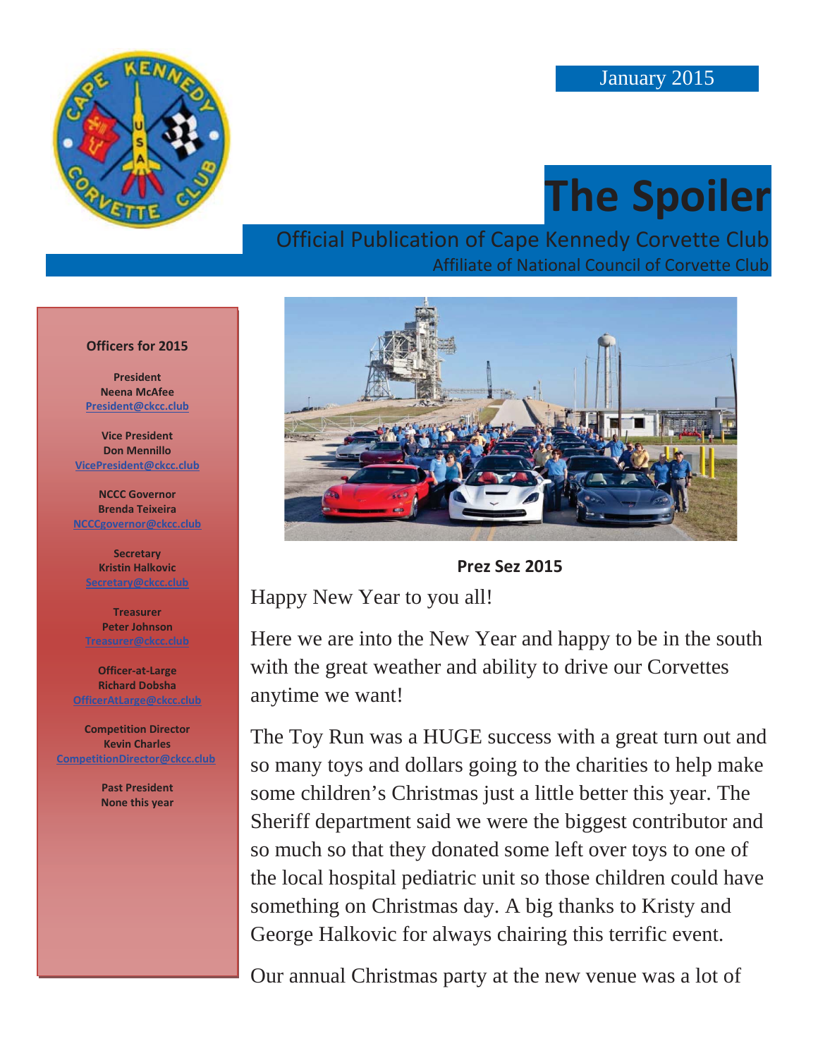

## **The Spoiler**

#### Official Publication of Cape Kennedy Corvette Club Affiliate of National Council of Corvette Club

#### **Officers for 2015**

**President Neena McAfee President@ckcc.club**

**Vice President Don Mennillo VicePresident@ckcc.club**

**NCCC Governor Brenda Teixeira NCCCgovernor@ckcc.club**

**Secretary Kristin Halkovic Secretary@ckcc.club**

**Treasurer Peter Johnson** 

**Officer-at-Large Richard Dobsha OfficerAtLarge@ckcc.club**

**Competition Director Kevin Charles CompetitionDirector@ckcc.club**

> **Past President None this year**



**Prez Sez 2015** 

Happy New Year to you all!

Here we are into the New Year and happy to be in the south with the great weather and ability to drive our Corvettes anytime we want!

The Toy Run was a HUGE success with a great turn out and so many toys and dollars going to the charities to help make some children's Christmas just a little better this year. The Sheriff department said we were the biggest contributor and so much so that they donated some left over toys to one of the local hospital pediatric unit so those children could have something on Christmas day. A big thanks to Kristy and George Halkovic for always chairing this terrific event.

Our annual Christmas party at the new venue was a lot of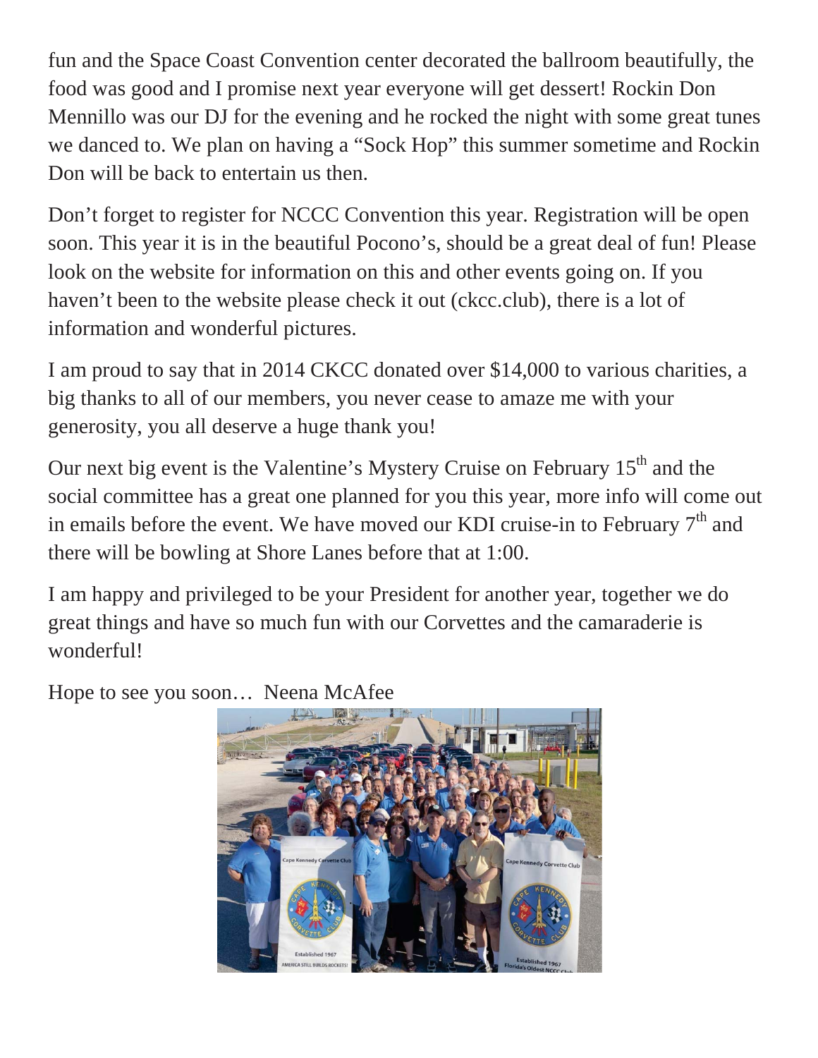fun and the Space Coast Convention center decorated the ballroom beautifully, the food was good and I promise next year everyone will get dessert! Rockin Don Mennillo was our DJ for the evening and he rocked the night with some great tunes we danced to. We plan on having a "Sock Hop" this summer sometime and Rockin Don will be back to entertain us then.

Don't forget to register for NCCC Convention this year. Registration will be open soon. This year it is in the beautiful Pocono's, should be a great deal of fun! Please look on the website for information on this and other events going on. If you haven't been to the website please check it out (ckcc.club), there is a lot of information and wonderful pictures.

I am proud to say that in 2014 CKCC donated over \$14,000 to various charities, a big thanks to all of our members, you never cease to amaze me with your generosity, you all deserve a huge thank you!

Our next big event is the Valentine's Mystery Cruise on February  $15<sup>th</sup>$  and the social committee has a great one planned for you this year, more info will come out in emails before the event. We have moved our KDI cruise-in to February  $7<sup>th</sup>$  and there will be bowling at Shore Lanes before that at 1:00.

I am happy and privileged to be your President for another year, together we do great things and have so much fun with our Corvettes and the camaraderie is wonderful!

Hope to see you soon… Neena McAfee

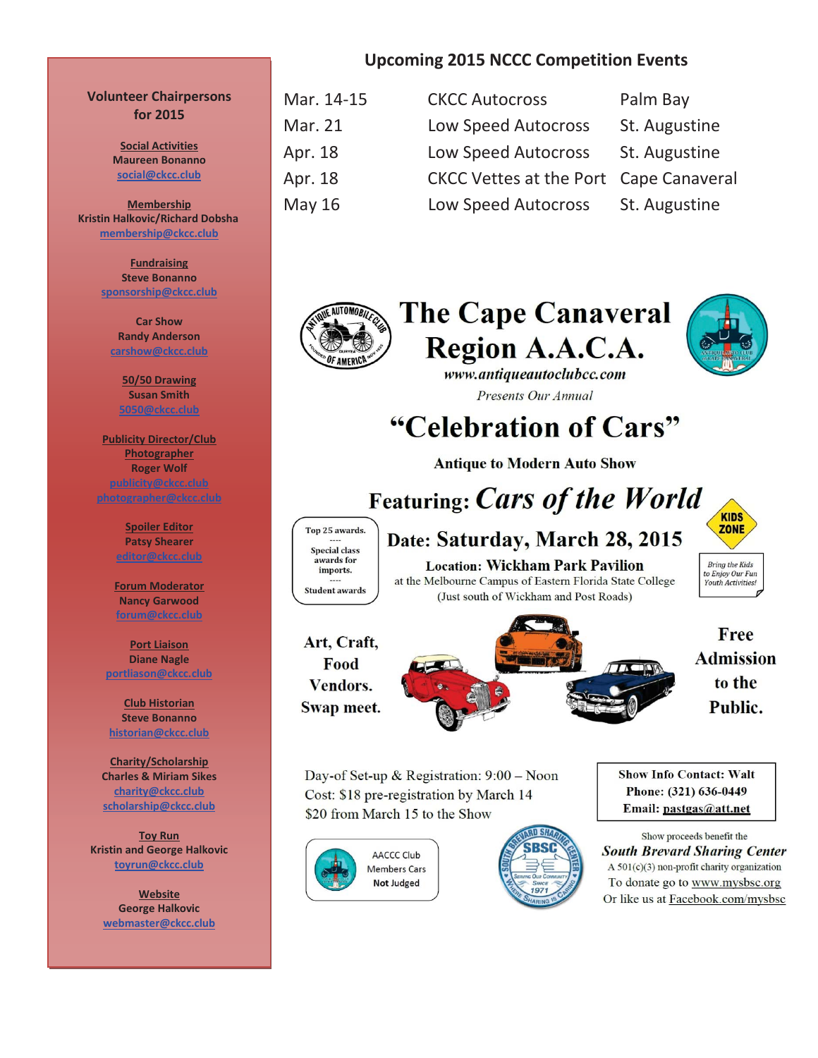#### **Volunteer Chairpersons for 2015**

**Social Activities Maureen Bonanno social@ckcc.club**

**Membership Kristin Halkovic/Richard Dobsha membership@ckcc.club**

> **Fundraising Steve Bonanno sponsorship@ckcc.club**

**Car Show Randy Anderson carshow@ckcc.club**

> **50/50 Drawing Susan Smith 5050@ckcc.club**

**Publicity Director/Club Photographer Roger Wolf photographer@ckcc.club**

> **Spoiler Editor Patsy Shearer editor@ckcc.club**

**Forum Moderator Nancy Garwood forum@ckcc.club**

**Port Liaison Diane Nagle portliason@ckcc.club**

**Club Historian Steve Bonanno historian@ckcc.club**

**Charity/Scholarship Charles & Miriam Sikes charity@ckcc.club scholarship@ckcc.club**

**Toy Run Kristin and George Halkovic toyrun@ckcc.club**

**Website George Halkovic webmaster@ckcc.club**

#### **Upcoming 2015 NCCC Competition Events**

| Mar. 14-15 | <b>CKCC Autocross</b>                  | Palm Bay      |
|------------|----------------------------------------|---------------|
| Mar. 21    | <b>Low Speed Autocross</b>             | St. Augustine |
| Apr. 18    | <b>Low Speed Autocross</b>             | St. Augustine |
| Apr. 18    | CKCC Vettes at the Port Cape Canaveral |               |
| May 16     | <b>Low Speed Autocross</b>             | St. Augustine |
|            |                                        |               |



**The Cape Canaveral** Region A.A.C.A.



www.antiqueautoclubcc.com Presents Our Annual

"Celebration of Cars"

**Antique to Modern Auto Show** 

**Featuring: Cars of the World** 

Top 25 awards. **Special class** awards for imports. **Student awards** 

**Location: Wickham Park Pavilion** at the Melbourne Campus of Eastern Florida State College (Just south of Wickham and Post Roads)

Date: Saturday, March 28, 2015

**Bring the Kids** to Enjoy Our Fun<br>Youth Activities!

**KIDS** 

ZONE

Art, Craft, Food Vendors. Swap meet.



Free **Admission** to the Public.

Day-of Set-up & Registration:  $9:00 - N$ oon Cost: \$18 pre-registration by March 14 \$20 from March 15 to the Show





**Show Info Contact: Walt** Phone: (321) 636-0449 Email: pastgas@att.net

Show proceeds benefit the **South Brevard Sharing Center** A 501(c)(3) non-profit charity organization To donate go to www.mysbsc.org Or like us at Facebook.com/mysbsc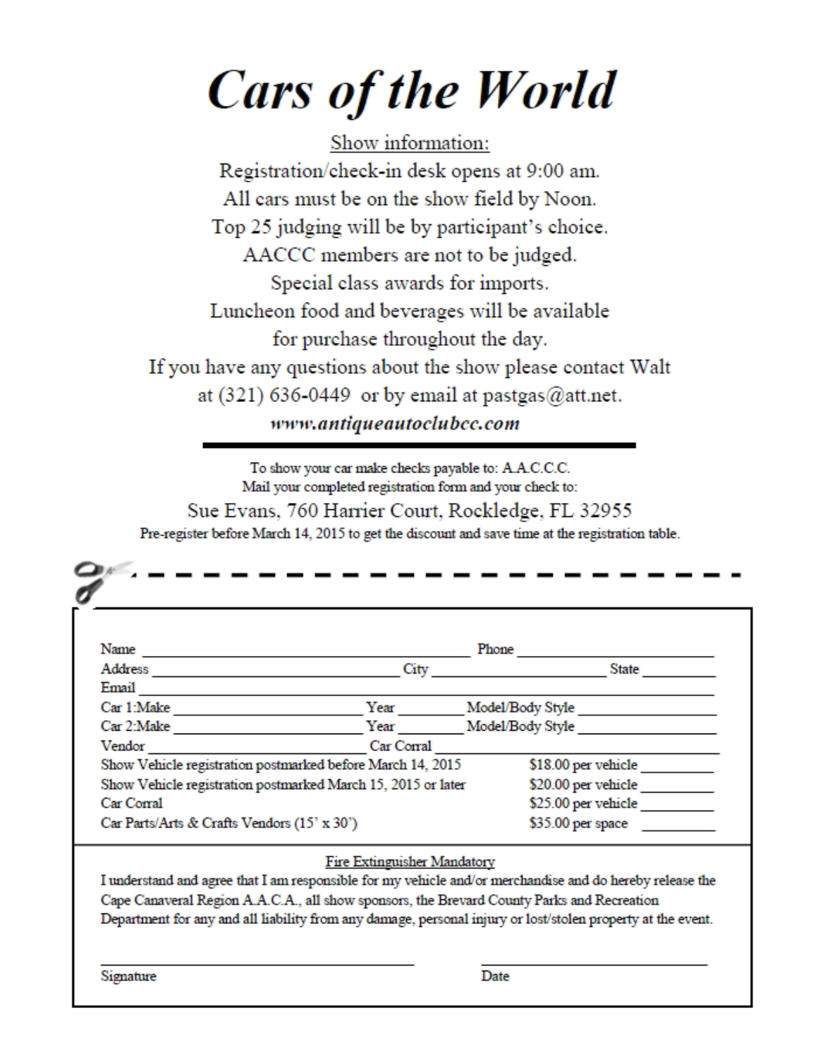# **Cars of the World**

Show information: Registration/check-in desk opens at 9:00 am. All cars must be on the show field by Noon. Top 25 judging will be by participant's choice. AACCC members are not to be judged. Special class awards for imports. Luncheon food and beverages will be available for purchase throughout the day. If you have any questions about the show please contact Walt at  $(321)$  636-0449 or by email at pastgas@att.net. www.antiqueautoclubcc.com

To show your car make checks payable to: A.A.C.C.C. Mail your completed registration form and your check to: Sue Evans, 760 Harrier Court, Rockledge, FL 32955 Pre-register before March 14, 2015 to get the discount and save time at the registration table.

| Email <u>Department</u>                                      | City                        | Phone<br><b>State</b>                                                                                    |
|--------------------------------------------------------------|-----------------------------|----------------------------------------------------------------------------------------------------------|
|                                                              |                             |                                                                                                          |
|                                                              |                             |                                                                                                          |
| Car 1: Make                                                  |                             | Year Model/Body Style                                                                                    |
| Car 2: Make                                                  |                             | Year Model/Body Style                                                                                    |
| Vendor <u>__________</u> __________                          | Car Corral                  |                                                                                                          |
| Show Vehicle registration postmarked before March 14, 2015   |                             | \$18.00 per vehicle___________                                                                           |
| Show Vehicle registration postmarked March 15, 2015 or later |                             |                                                                                                          |
| Car Corral                                                   |                             |                                                                                                          |
| Car Parts/Arts & Crafts Vendors (15' x 30')                  |                             | $$35.00$ per space                                                                                       |
|                                                              | Fire Extinguisher Mandatory |                                                                                                          |
|                                                              |                             | I understand and agree that I am responsible for my vehicle and/or merchandise and do hereby release the |
|                                                              |                             | Cape Canaveral Region A.A.C.A., all show sponsors, the Brevard County Parks and Recreation               |
|                                                              |                             |                                                                                                          |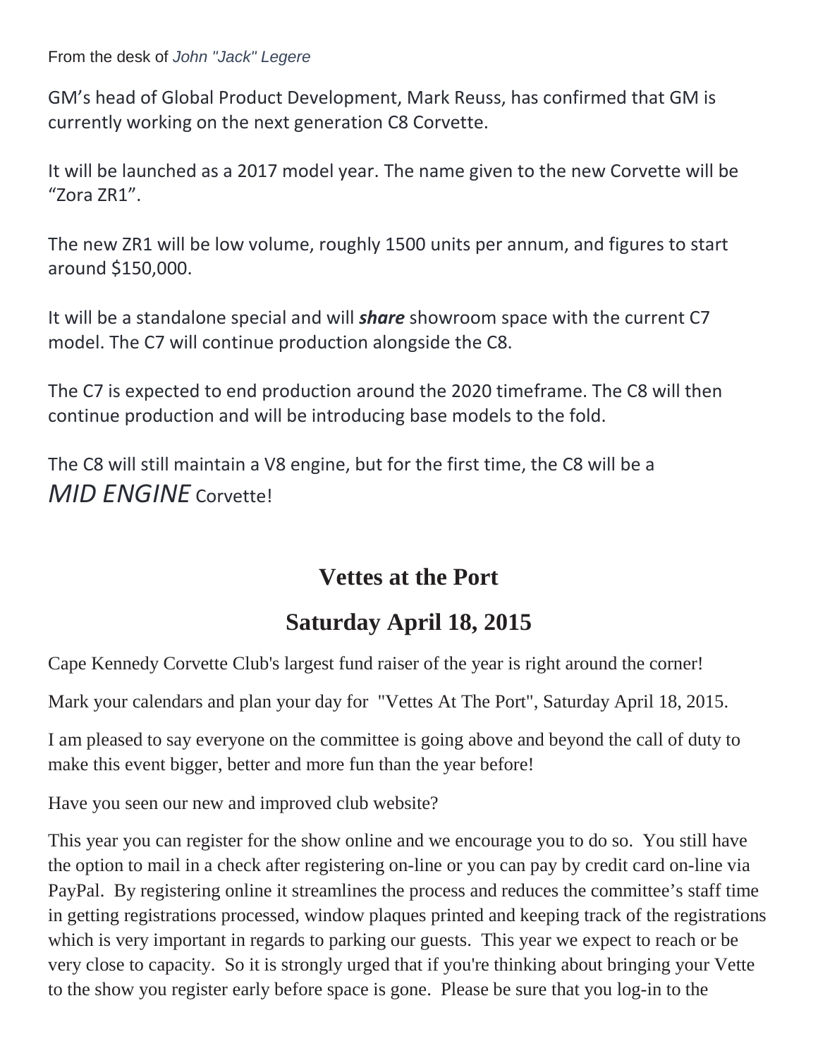From the desk of *John "Jack" Legere*

GM's head of Global Product Development, Mark Reuss, has confirmed that GM is currently working on the next generation C8 Corvette.

It will be launched as a 2017 model year. The name given to the new Corvette will be "Zora ZR1".

The new ZR1 will be low volume, roughly 1500 units per annum, and figures to start around \$150,000.

It will be a standalone special and will *share* showroom space with the current C7 model. The C7 will continue production alongside the C8.

The C7 is expected to end production around the 2020 timeframe. The C8 will then continue production and will be introducing base models to the fold.

The C8 will still maintain a V8 engine, but for the first time, the C8 will be a *MID ENGINE* Corvette!

### **Vettes at the Port**

## **Saturday April 18, 2015**

Cape Kennedy Corvette Club's largest fund raiser of the year is right around the corner!

Mark your calendars and plan your day for "Vettes At The Port", Saturday April 18, 2015.

I am pleased to say everyone on the committee is going above and beyond the call of duty to make this event bigger, better and more fun than the year before!

Have you seen our new and improved club website?

This year you can register for the show online and we encourage you to do so. You still have the option to mail in a check after registering on-line or you can pay by credit card on-line via PayPal. By registering online it streamlines the process and reduces the committee's staff time in getting registrations processed, window plaques printed and keeping track of the registrations which is very important in regards to parking our guests. This year we expect to reach or be very close to capacity. So it is strongly urged that if you're thinking about bringing your Vette to the show you register early before space is gone. Please be sure that you log-in to the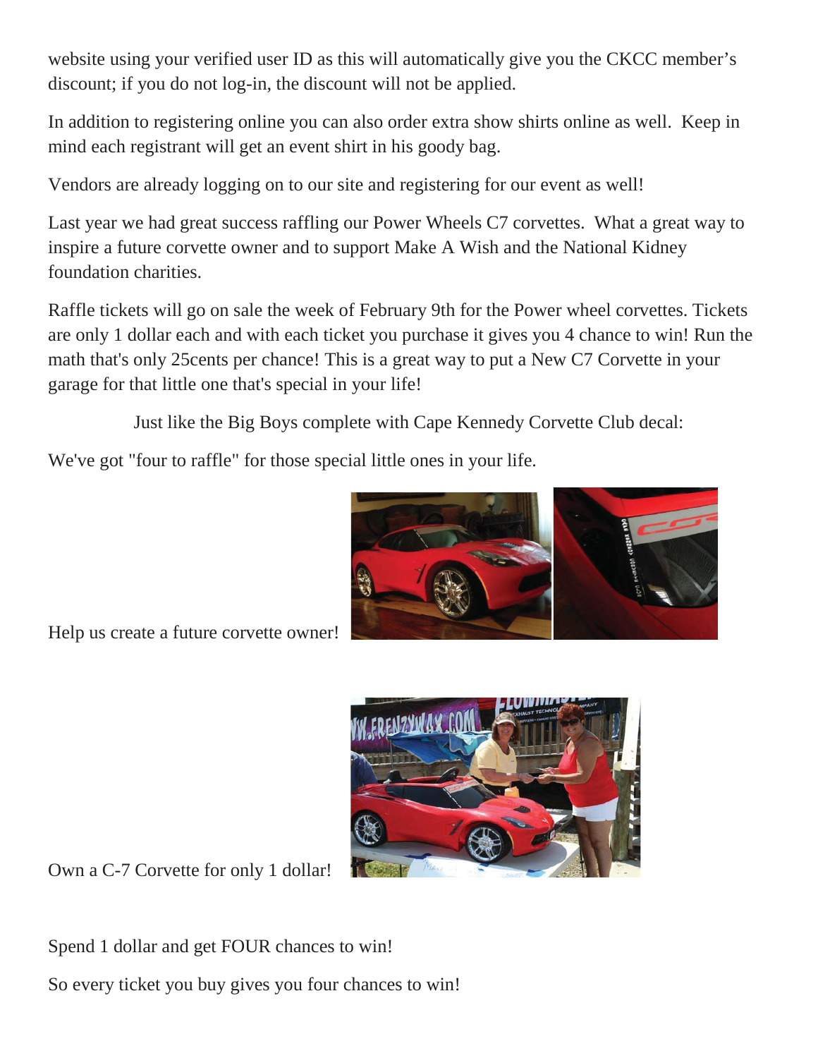website using your verified user ID as this will automatically give you the CKCC member's discount; if you do not log-in, the discount will not be applied.

In addition to registering online you can also order extra show shirts online as well. Keep in mind each registrant will get an event shirt in his goody bag.

Vendors are already logging on to our site and registering for our event as well!

Last year we had great success raffling our Power Wheels C7 corvettes. What a great way to inspire a future corvette owner and to support Make A Wish and the National Kidney foundation charities.

Raffle tickets will go on sale the week of February 9th for the Power wheel corvettes. Tickets are only 1 dollar each and with each ticket you purchase it gives you 4 chance to win! Run the math that's only 25cents per chance! This is a great way to put a New C7 Corvette in your garage for that little one that's special in your life!

Just like the Big Boys complete with Cape Kennedy Corvette Club decal:

We've got "four to raffle" for those special little ones in your life.



Help us create a future corvette owner!



Own a C-7 Corvette for only 1 dollar!

Spend 1 dollar and get FOUR chances to win!

So every ticket you buy gives you four chances to win!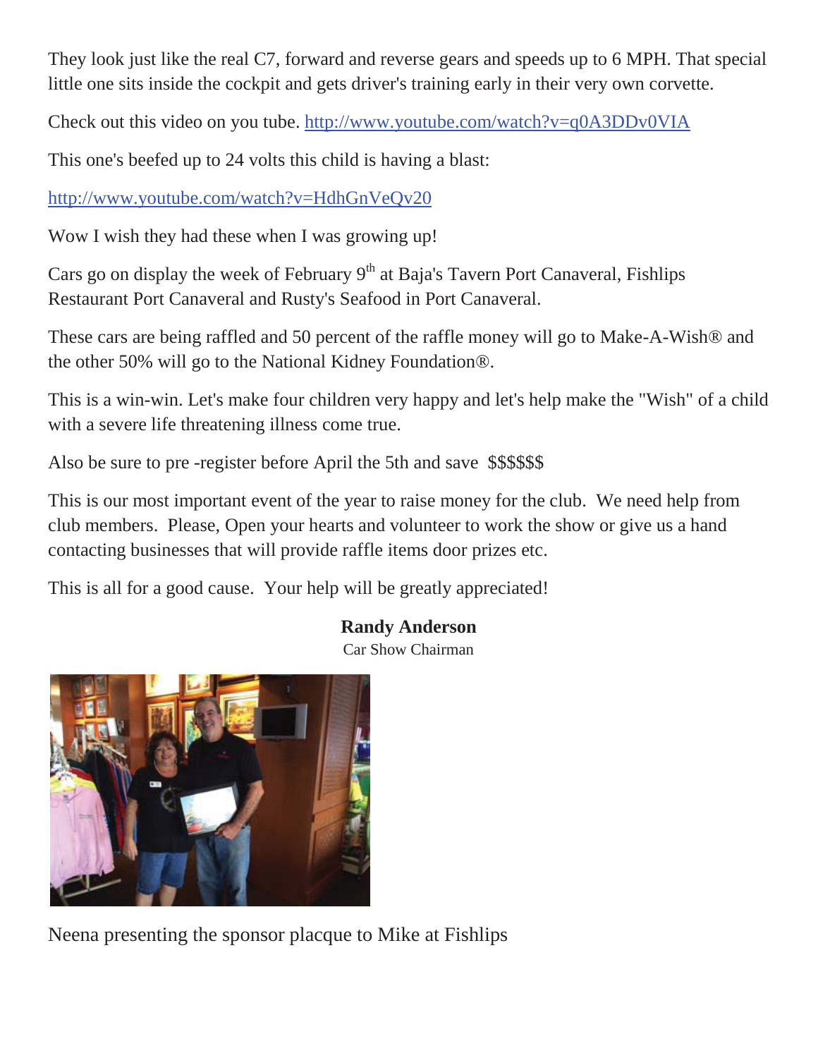They look just like the real C7, forward and reverse gears and speeds up to 6 MPH. That special little one sits inside the cockpit and gets driver's training early in their very own corvette.

Check out this video on you tube. http://www.youtube.com/watch?v=q0A3DDv0VIA

This one's beefed up to 24 volts this child is having a blast:

http://www.youtube.com/watch?v=HdhGnVeQv20

Wow I wish they had these when I was growing up!

Cars go on display the week of February  $9<sup>th</sup>$  at Baja's Tavern Port Canaveral, Fishlips Restaurant Port Canaveral and Rusty's Seafood in Port Canaveral.

These cars are being raffled and 50 percent of the raffle money will go to Make-A-Wish® and the other 50% will go to the National Kidney Foundation®.

This is a win-win. Let's make four children very happy and let's help make the "Wish" of a child with a severe life threatening illness come true.

Also be sure to pre -register before April the 5th and save \$\$\$\$\$\$

This is our most important event of the year to raise money for the club. We need help from club members. Please, Open your hearts and volunteer to work the show or give us a hand contacting businesses that will provide raffle items door prizes etc.

This is all for a good cause. Your help will be greatly appreciated!

#### **Randy Anderson**

Car Show Chairman



Neena presenting the sponsor placque to Mike at Fishlips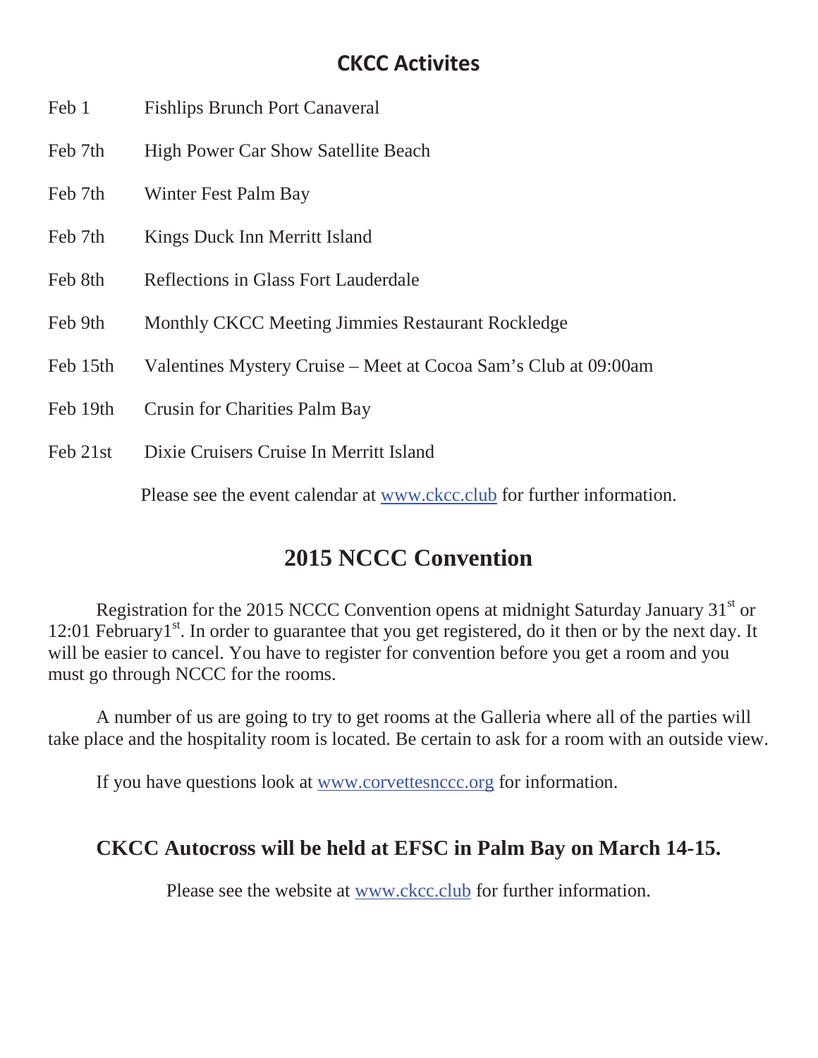#### **CKCC Activites**

- Feb 1 Fishlips Brunch Port Canaveral
- Feb 7th High Power Car Show Satellite Beach
- Feb 7th Winter Fest Palm Bay
- Feb 7th Kings Duck Inn Merritt Island
- Feb 8th Reflections in Glass Fort Lauderdale
- Feb 9th Monthly CKCC Meeting Jimmies Restaurant Rockledge
- Feb 15th Valentines Mystery Cruise Meet at Cocoa Sam's Club at 09:00am
- Feb 19th Crusin for Charities Palm Bay
- Feb 21st Dixie Cruisers Cruise In Merritt Island

Please see the event calendar at www.ckcc.club for further information.

### **2015 NCCC Convention**

Registration for the 2015 NCCC Convention opens at midnight Saturday January  $31<sup>st</sup>$  or 12:01 February1<sup>st</sup>. In order to guarantee that you get registered, do it then or by the next day. It will be easier to cancel. You have to register for convention before you get a room and you must go through NCCC for the rooms.

A number of us are going to try to get rooms at the Galleria where all of the parties will take place and the hospitality room is located. Be certain to ask for a room with an outside view.

If you have questions look at www.corvettesnccc.org for information.

#### **CKCC Autocross will be held at EFSC in Palm Bay on March 14-15.**

Please see the website at www.ckcc.club for further information.